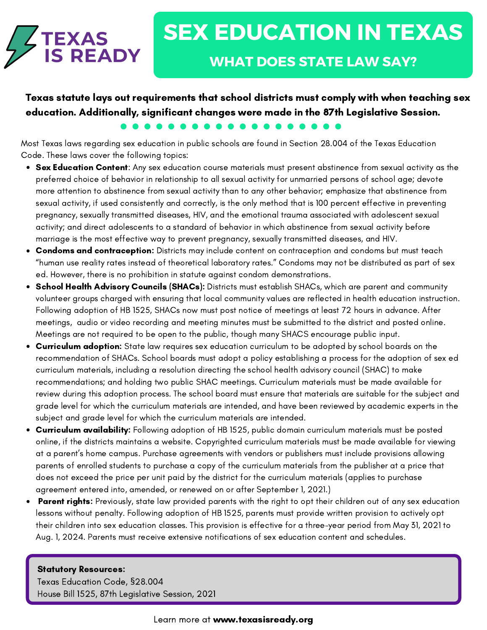

Texas statute lays out requirements that school districts must comply with when teaching sex education. Additionally, significant changes were made in the 87th Legislative Session.

Most Texas laws regarding sex education in public schools are found in Section 28.004 of the Texas Education Code. These laws cover the following topics:

- Sex Education Content: Any sex education course materials must present abstinence from sexual activity as the preferred choice of behavior in relationship to all sexual activity for unmarried persons of school age; devote more attention to abstinence from sexual activity than to any other behavior; emphasize that abstinence from sexual activity, if used consistently and correctly, is the only method that is 100 percent effective in preventing pregnancy, sexually transmitted diseases, HIV, and the emotional trauma associated with adolescent sexual activity; and direct adolescents to a standard of behavior in which abstinence from sexual activity before marriage is the most effective way to prevent pregnancy, sexually transmitted diseases, and HIV.
- Condoms and contraception: Districts may include content on contraception and condoms but must teach "human use reality rates instead of theoretical laboratory rates." Condoms may not be distributed as part of sex ed. However, there is no prohibition in statute against condom demonstrations.
- School Health Advisory Councils (SHACs): Districts must establish SHACs, which are parent and community volunteer groups charged with ensuring that local community values are reflected in health education instruction. Following adoption of HB 1525, SHACs now must post notice of meetings at least 72 hours in advance. After meetings, audio or video recording and meeting minutes must be submitted to the district and posted online. Meetings are not required to be open to the public, though many SHACS encourage public input.
- Curriculum adoption: State law requires sex education curriculum to be adopted by school boards on the recommendation of SHACs. School boards must adopt a policy establishing a process for the adoption of sex ed curriculum materials, including a resolution directing the school health advisory council (SHAC) to make recommendations; and holding two public SHAC meetings. Curriculum materials must be made available for review during this adoption process. The school board must ensure that materials are suitable for the subject and grade level for which the curriculum materials are intended, and have been reviewed by academic experts in the subject and grade level for which the curriculum materials are intended.
- Curriculum availability: Following adoption of HB 1525, public domain curriculum materials must be posted online, if the districts maintains a website. Copyrighted curriculum materials must be made available for viewing at a parent's home campus. Purchase agreements with vendors or publishers must include provisions allowing parents of enrolled students to purchase a copy of the curriculum materials from the publisher at a price that does not exceed the price per unit paid by the district for the curriculum materials (applies to purchase agreement entered into, amended, or renewed on or after September 1, 2021.)
- **Parent rights:** Previously, state law provided parents with the right to opt their children out of any sex education lessons without penalty. Following adoption of HB 1525, parents must provide written provision to actively opt their children into sex education classes. This provision is effective for a three-year period from May 31, 2021 to Aug. 1, 2024. Parents must receive extensive notifications of sex education content and schedules.

## Statutory Resources:

Texas Education Code, [§](https://periwigsquiggle.wordpress.com/about/)28.004 House Bill 1525, 87th Legislative Session, 2021